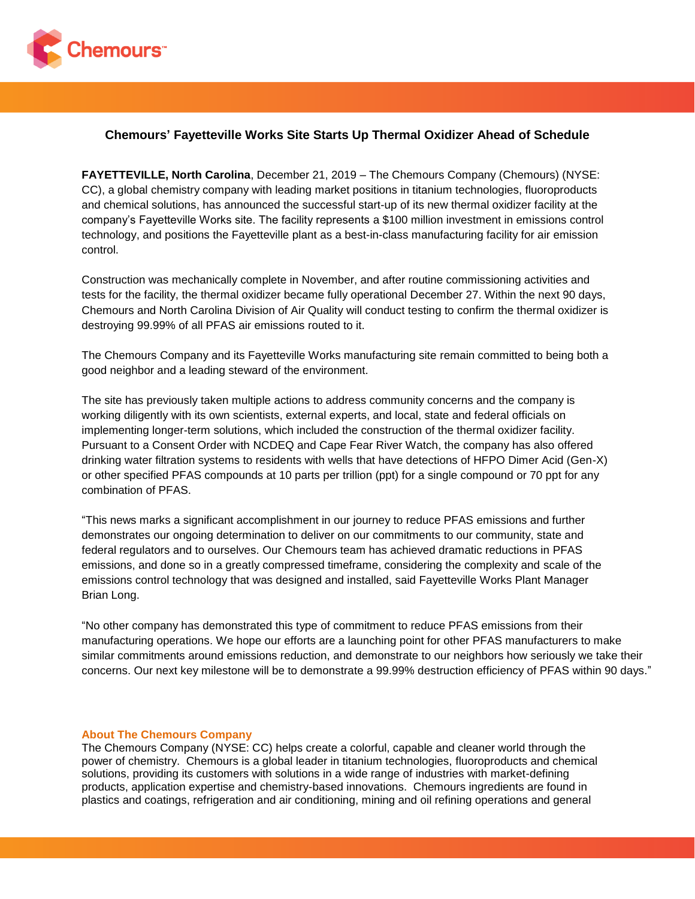

## **Chemours' Fayetteville Works Site Starts Up Thermal Oxidizer Ahead of Schedule**

**FAYETTEVILLE, North Carolina**, December 21, 2019 – The Chemours Company (Chemours) (NYSE: CC), a global chemistry company with leading market positions in titanium technologies, fluoroproducts and chemical solutions, has announced the successful start-up of its new thermal oxidizer facility at the company's Fayetteville Works site. The facility represents a \$100 million investment in emissions control technology, and positions the Fayetteville plant as a best-in-class manufacturing facility for air emission control.

Construction was mechanically complete in November, and after routine commissioning activities and tests for the facility, the thermal oxidizer became fully operational December 27. Within the next 90 days, Chemours and North Carolina Division of Air Quality will conduct testing to confirm the thermal oxidizer is destroying 99.99% of all PFAS air emissions routed to it.

The Chemours Company and its Fayetteville Works manufacturing site remain committed to being both a good neighbor and a leading steward of the environment.

The site has previously taken multiple actions to address community concerns and the company is working diligently with its own scientists, external experts, and local, state and federal officials on implementing longer-term solutions, which included the construction of the thermal oxidizer facility. Pursuant to a Consent Order with NCDEQ and Cape Fear River Watch, the company has also offered drinking water filtration systems to residents with wells that have detections of HFPO Dimer Acid (Gen-X) or other specified PFAS compounds at 10 parts per trillion (ppt) for a single compound or 70 ppt for any combination of PFAS.

"This news marks a significant accomplishment in our journey to reduce PFAS emissions and further demonstrates our ongoing determination to deliver on our commitments to our community, state and federal regulators and to ourselves. Our Chemours team has achieved dramatic reductions in PFAS emissions, and done so in a greatly compressed timeframe, considering the complexity and scale of the emissions control technology that was designed and installed, said Fayetteville Works Plant Manager Brian Long.

"No other company has demonstrated this type of commitment to reduce PFAS emissions from their manufacturing operations. We hope our efforts are a launching point for other PFAS manufacturers to make similar commitments around emissions reduction, and demonstrate to our neighbors how seriously we take their concerns. Our next key milestone will be to demonstrate a 99.99% destruction efficiency of PFAS within 90 days."

## **About The Chemours Company**

The Chemours Company (NYSE: CC) helps create a colorful, capable and cleaner world through the power of chemistry. Chemours is a global leader in titanium technologies, fluoroproducts and chemical solutions, providing its customers with solutions in a wide range of industries with market-defining products, application expertise and chemistry-based innovations. Chemours ingredients are found in plastics and coatings, refrigeration and air conditioning, mining and oil refining operations and general